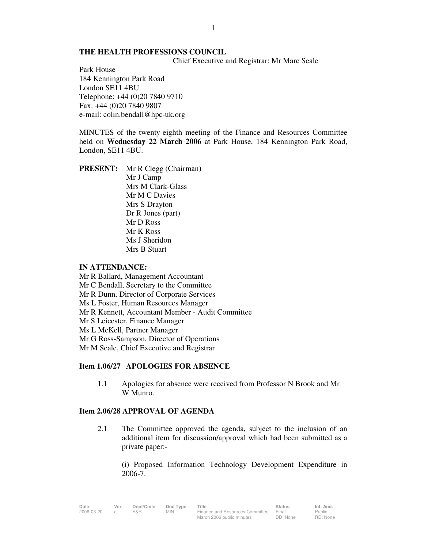#### **THE HEALTH PROFESSIONS COUNCIL**

Chief Executive and Registrar: Mr Marc Seale

Park House 184 Kennington Park Road London SE11 4BU Telephone: +44 (0)20 7840 9710 Fax: +44 (0)20 7840 9807 e-mail: colin.bendall@hpc-uk.org

MINUTES of the twenty-eighth meeting of the Finance and Resources Committee held on **Wednesday 22 March 2006** at Park House, 184 Kennington Park Road, London, SE11 4BU.

**PRESENT:** Mr R Clegg (Chairman) Mr J Camp Mrs M Clark-Glass Mr M C Davies Mrs S Drayton Dr R Jones (part) Mr D Ross Mr K Ross Ms J Sheridon Mrs B Stuart

### **IN ATTENDANCE:**

Mr R Ballard, Management Accountant Mr C Bendall, Secretary to the Committee Mr R Dunn, Director of Corporate Services Ms L Foster, Human Resources Manager Mr R Kennett, Accountant Member - Audit Committee Mr S Leicester, Finance Manager Ms L McKell, Partner Manager Mr G Ross-Sampson, Director of Operations Mr M Seale, Chief Executive and Registrar

### **Item 1.06/27 APOLOGIES FOR ABSENCE**

1.1 Apologies for absence were received from Professor N Brook and Mr W Munro.

# **Item 2.06/28 APPROVAL OF AGENDA**

 2.1 The Committee approved the agenda, subject to the inclusion of an additional item for discussion/approval which had been submitted as a private paper:-

 (i) Proposed Information Technology Development Expenditure in 2006-7.

| Date       | Ver. | Dept/Cmte | Doc Type | Title                                 | <b>Status</b> | Int. Aud. |
|------------|------|-----------|----------|---------------------------------------|---------------|-----------|
| 2006-03-20 |      | F&R       | MIN.     | Finance and Resources Committee Final |               | Public    |
|            |      |           |          | March 2006 public minutes             | DD: None      | RD: None  |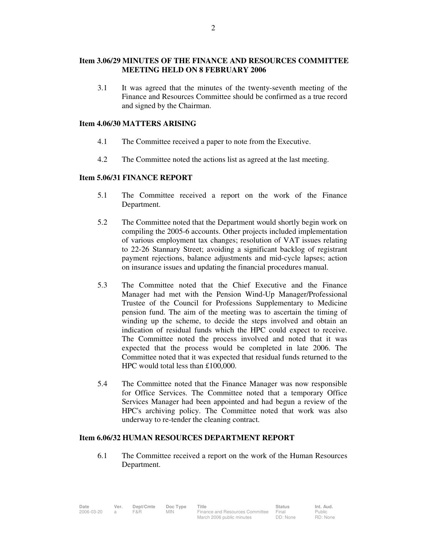## **Item 3.06/29 MINUTES OF THE FINANCE AND RESOURCES COMMITTEE MEETING HELD ON 8 FEBRUARY 2006**

 3.1 It was agreed that the minutes of the twenty-seventh meeting of the Finance and Resources Committee should be confirmed as a true record and signed by the Chairman.

#### **Item 4.06/30 MATTERS ARISING**

- 4.1 The Committee received a paper to note from the Executive.
- 4.2 The Committee noted the actions list as agreed at the last meeting.

### **Item 5.06/31 FINANCE REPORT**

- 5.1 The Committee received a report on the work of the Finance Department.
- 5.2 The Committee noted that the Department would shortly begin work on compiling the 2005-6 accounts. Other projects included implementation of various employment tax changes; resolution of VAT issues relating to 22-26 Stannary Street; avoiding a significant backlog of registrant payment rejections, balance adjustments and mid-cycle lapses; action on insurance issues and updating the financial procedures manual.
- 5.3 The Committee noted that the Chief Executive and the Finance Manager had met with the Pension Wind-Up Manager/Professional Trustee of the Council for Professions Supplementary to Medicine pension fund. The aim of the meeting was to ascertain the timing of winding up the scheme, to decide the steps involved and obtain an indication of residual funds which the HPC could expect to receive. The Committee noted the process involved and noted that it was expected that the process would be completed in late 2006. The Committee noted that it was expected that residual funds returned to the HPC would total less than £100,000.
- 5.4 The Committee noted that the Finance Manager was now responsible for Office Services. The Committee noted that a temporary Office Services Manager had been appointed and had begun a review of the HPC's archiving policy. The Committee noted that work was also underway to re-tender the cleaning contract.

### **Item 6.06/32 HUMAN RESOURCES DEPARTMENT REPORT**

 6.1 The Committee received a report on the work of the Human Resources Department.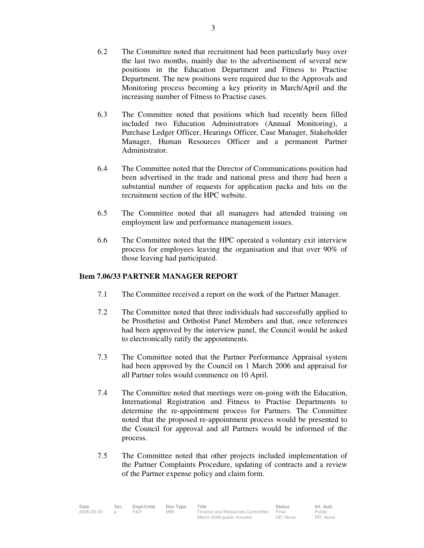- 6.2 The Committee noted that recruitment had been particularly busy over the last two months, mainly due to the advertisement of several new positions in the Education Department and Fitness to Practise Department. The new positions were required due to the Approvals and Monitoring process becoming a key priority in March/April and the increasing number of Fitness to Practise cases.
- 6.3 The Committee noted that positions which had recently been filled included two Education Administrators (Annual Monitoring), a Purchase Ledger Officer, Hearings Officer, Case Manager, Stakeholder Manager, Human Resources Officer and a permanent Partner Administrator.
- 6.4 The Committee noted that the Director of Communications position had been advertised in the trade and national press and there had been a substantial number of requests for application packs and hits on the recruitment section of the HPC website.
- 6.5 The Committee noted that all managers had attended training on employment law and performance management issues.
- 6.6 The Committee noted that the HPC operated a voluntary exit interview process for employees leaving the organisation and that over 90% of those leaving had participated.

## **Item 7.06/33 PARTNER MANAGER REPORT**

- 7.1 The Committee received a report on the work of the Partner Manager.
- 7.2 The Committee noted that three individuals had successfully applied to be Prosthetist and Orthotist Panel Members and that, once references had been approved by the interview panel, the Council would be asked to electronically ratify the appointments.
- 7.3 The Committee noted that the Partner Performance Appraisal system had been approved by the Council on 1 March 2006 and appraisal for all Partner roles would commence on 10 April.
- 7.4 The Committee noted that meetings were on-going with the Education, International Registration and Fitness to Practise Departments to determine the re-appointment process for Partners. The Committee noted that the proposed re-appointment process would be presented to the Council for approval and all Partners would be informed of the process.
- 7.5 The Committee noted that other projects included implementation of the Partner Complaints Procedure, updating of contracts and a review of the Partner expense policy and claim form.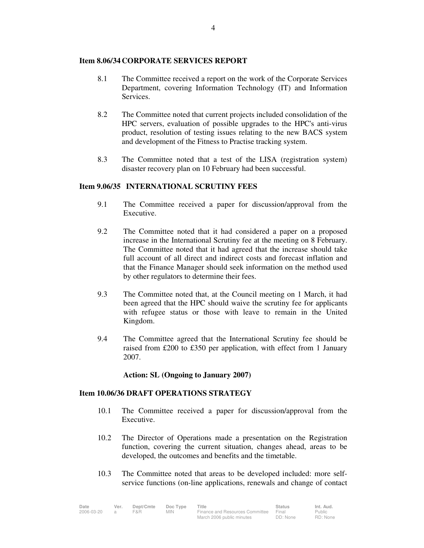### **Item 8.06/34 CORPORATE SERVICES REPORT**

- 8.1 The Committee received a report on the work of the Corporate Services Department, covering Information Technology (IT) and Information **Services**
- 8.2 The Committee noted that current projects included consolidation of the HPC servers, evaluation of possible upgrades to the HPC's anti-virus product, resolution of testing issues relating to the new BACS system and development of the Fitness to Practise tracking system.
- 8.3 The Committee noted that a test of the LISA (registration system) disaster recovery plan on 10 February had been successful.

## **Item 9.06/35 INTERNATIONAL SCRUTINY FEES**

- 9.1 The Committee received a paper for discussion/approval from the Executive.
- 9.2 The Committee noted that it had considered a paper on a proposed increase in the International Scrutiny fee at the meeting on 8 February. The Committee noted that it had agreed that the increase should take full account of all direct and indirect costs and forecast inflation and that the Finance Manager should seek information on the method used by other regulators to determine their fees.
- 9.3 The Committee noted that, at the Council meeting on 1 March, it had been agreed that the HPC should waive the scrutiny fee for applicants with refugee status or those with leave to remain in the United Kingdom.
- 9.4 The Committee agreed that the International Scrutiny fee should be raised from £200 to £350 per application, with effect from 1 January 2007.

## **Action: SL (Ongoing to January 2007)**

#### **Item 10.06/36 DRAFT OPERATIONS STRATEGY**

- 10.1 The Committee received a paper for discussion/approval from the Executive.
- 10.2 The Director of Operations made a presentation on the Registration function, covering the current situation, changes ahead, areas to be developed, the outcomes and benefits and the timetable.
- 10.3 The Committee noted that areas to be developed included: more selfservice functions (on-line applications, renewals and change of contact

| Date       | Ver. | Dept/Cmte | Doc Type | ⊤itle                                 | <b>Status</b> | Int. Aud. |
|------------|------|-----------|----------|---------------------------------------|---------------|-----------|
| 2006-03-20 |      | F&R       | MIN.     | Finance and Resources Committee Final |               | Public    |
|            |      |           |          | March 2006 public minutes             | DD: None      | RD: None  |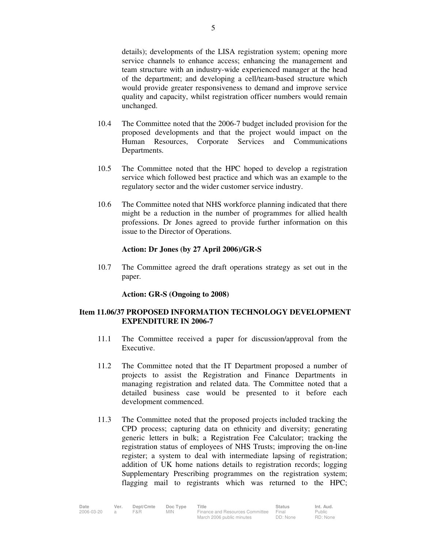details); developments of the LISA registration system; opening more service channels to enhance access; enhancing the management and team structure with an industry-wide experienced manager at the head of the department; and developing a cell/team-based structure which would provide greater responsiveness to demand and improve service quality and capacity, whilst registration officer numbers would remain unchanged.

- 10.4 The Committee noted that the 2006-7 budget included provision for the proposed developments and that the project would impact on the Human Resources, Corporate Services and Communications Departments.
- 10.5 The Committee noted that the HPC hoped to develop a registration service which followed best practice and which was an example to the regulatory sector and the wider customer service industry.
- 10.6 The Committee noted that NHS workforce planning indicated that there might be a reduction in the number of programmes for allied health professions. Dr Jones agreed to provide further information on this issue to the Director of Operations.

### **Action: Dr Jones (by 27 April 2006)/GR-S**

10.7 The Committee agreed the draft operations strategy as set out in the paper.

#### **Action: GR-S (Ongoing to 2008)**

## **Item 11.06/37 PROPOSED INFORMATION TECHNOLOGY DEVELOPMENT EXPENDITURE IN 2006-7**

- 11.1 The Committee received a paper for discussion/approval from the **Executive**
- 11.2 The Committee noted that the IT Department proposed a number of projects to assist the Registration and Finance Departments in managing registration and related data. The Committee noted that a detailed business case would be presented to it before each development commenced.
- 11.3 The Committee noted that the proposed projects included tracking the CPD process; capturing data on ethnicity and diversity; generating generic letters in bulk; a Registration Fee Calculator; tracking the registration status of employees of NHS Trusts; improving the on-line register; a system to deal with intermediate lapsing of registration; addition of UK home nations details to registration records; logging Supplementary Prescribing programmes on the registration system; flagging mail to registrants which was returned to the HPC;

| Date       | Ver. | Dept/Cmte | Doc Type | Title                           | <b>Status</b> | Int. Aud. |
|------------|------|-----------|----------|---------------------------------|---------------|-----------|
| 2006-03-20 |      | F&R       | MIN.     | Finance and Resources Committee | Final         | Public    |
|            |      |           |          | March 2006 public minutes       | DD: None      | RD: None  |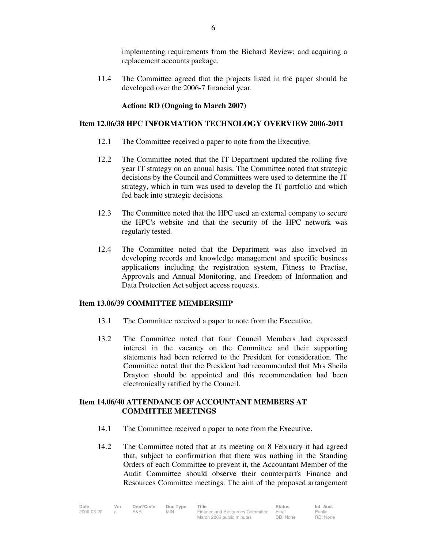implementing requirements from the Bichard Review; and acquiring a replacement accounts package.

11.4 The Committee agreed that the projects listed in the paper should be developed over the 2006-7 financial year.

### **Action: RD (Ongoing to March 2007)**

### **Item 12.06/38 HPC INFORMATION TECHNOLOGY OVERVIEW 2006-2011**

- 12.1 The Committee received a paper to note from the Executive.
- 12.2 The Committee noted that the IT Department updated the rolling five year IT strategy on an annual basis. The Committee noted that strategic decisions by the Council and Committees were used to determine the IT strategy, which in turn was used to develop the IT portfolio and which fed back into strategic decisions.
- 12.3 The Committee noted that the HPC used an external company to secure the HPC's website and that the security of the HPC network was regularly tested.
- 12.4 The Committee noted that the Department was also involved in developing records and knowledge management and specific business applications including the registration system, Fitness to Practise, Approvals and Annual Monitoring, and Freedom of Information and Data Protection Act subject access requests.

#### **Item 13.06/39 COMMITTEE MEMBERSHIP**

- 13.1 The Committee received a paper to note from the Executive.
- 13.2 The Committee noted that four Council Members had expressed interest in the vacancy on the Committee and their supporting statements had been referred to the President for consideration. The Committee noted that the President had recommended that Mrs Sheila Drayton should be appointed and this recommendation had been electronically ratified by the Council.

## **Item 14.06/40 ATTENDANCE OF ACCOUNTANT MEMBERS AT COMMITTEE MEETINGS**

- 14.1 The Committee received a paper to note from the Executive.
- 14.2 The Committee noted that at its meeting on 8 February it had agreed that, subject to confirmation that there was nothing in the Standing Orders of each Committee to prevent it, the Accountant Member of the Audit Committee should observe their counterpart's Finance and Resources Committee meetings. The aim of the proposed arrangement

| Date       | Ver. | Dept/Cmte | Doc Type | Title                           | <b>Status</b> | Int. Aud. |
|------------|------|-----------|----------|---------------------------------|---------------|-----------|
| 2006-03-20 |      | F&R       | MIN.     | Finance and Resources Committee | Final         | Public    |
|            |      |           |          | March 2006 public minutes       | DD: None      | RD: None  |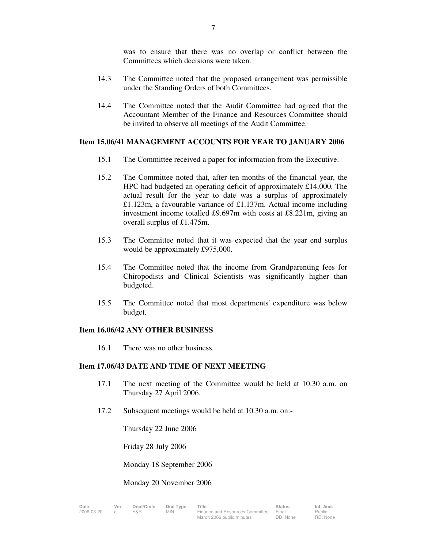was to ensure that there was no overlap or conflict between the Committees which decisions were taken.

- 14.3 The Committee noted that the proposed arrangement was permissible under the Standing Orders of both Committees.
- 14.4 The Committee noted that the Audit Committee had agreed that the Accountant Member of the Finance and Resources Committee should be invited to observe all meetings of the Audit Committee.

### **Item 15.06/41 MANAGEMENT ACCOUNTS FOR YEAR TO JANUARY 2006**

- 15.1 The Committee received a paper for information from the Executive.
- 15.2 The Committee noted that, after ten months of the financial year, the HPC had budgeted an operating deficit of approximately £14,000. The actual result for the year to date was a surplus of approximately £1.123m, a favourable variance of £1.137m. Actual income including investment income totalled £9.697m with costs at £8.221m, giving an overall surplus of £1.475m.
- 15.3 The Committee noted that it was expected that the year end surplus would be approximately £975,000.
- 15.4 The Committee noted that the income from Grandparenting fees for Chiropodists and Clinical Scientists was significantly higher than budgeted.
- 15.5 The Committee noted that most departments' expenditure was below budget.

#### **Item 16.06/42 ANY OTHER BUSINESS**

16.1 There was no other business.

### **Item 17.06/43 DATE AND TIME OF NEXT MEETING**

- 17.1 The next meeting of the Committee would be held at 10.30 a.m. on Thursday 27 April 2006.
- 17.2 Subsequent meetings would be held at 10.30 a.m. on:-

Thursday 22 June 2006

Friday 28 July 2006

Monday 18 September 2006

#### Monday 20 November 2006

| e             | Ver. | De |
|---------------|------|----|
| $6 - 03 - 20$ |      | F& |